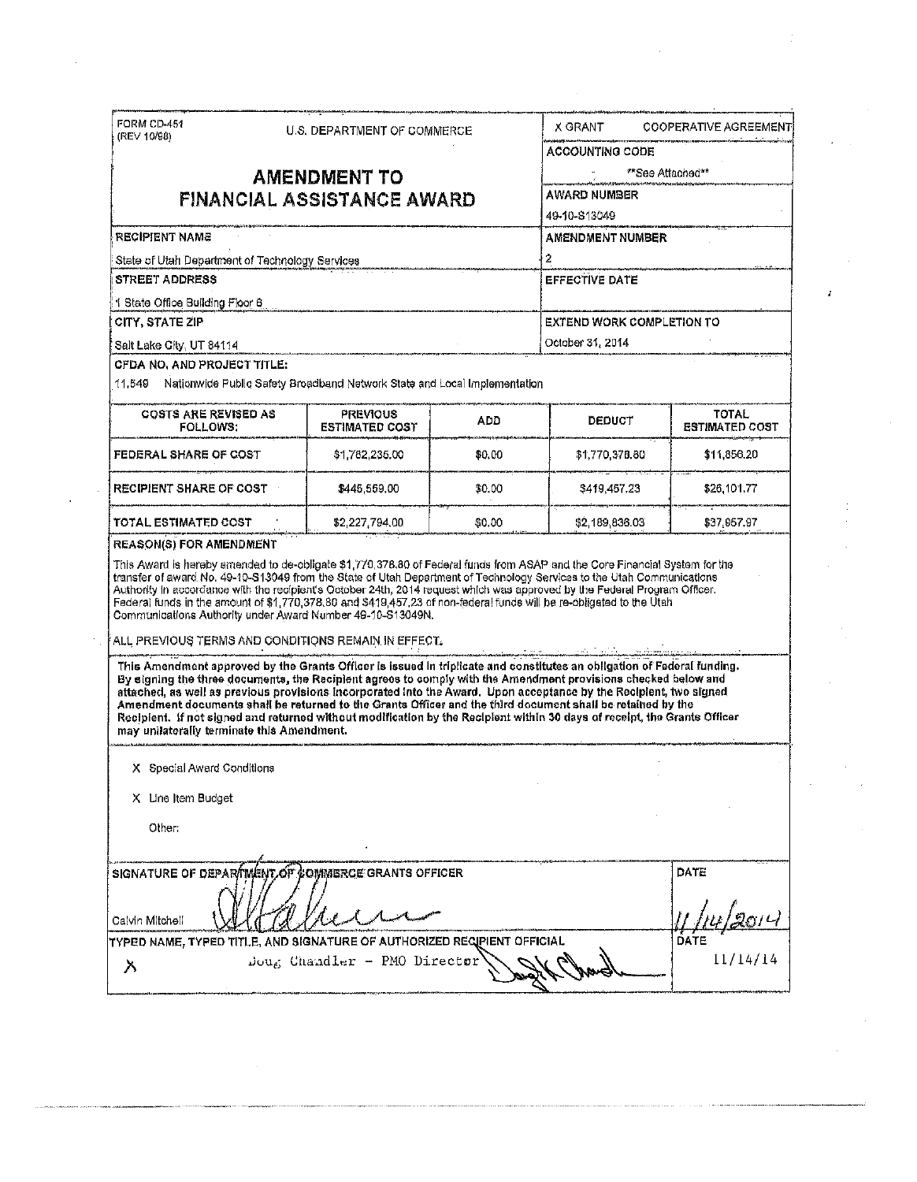| (REV 10/98)                                                                                                            | U.S. DEPARTMENT OF COMMERCE |                                                                                                                                                                                                                                                                                                                                                                                                                                                                                                                                                                                                             | X GRANT. |                                  | <b>COOPERATIVE AGREEMENT</b> |                                       |
|------------------------------------------------------------------------------------------------------------------------|-----------------------------|-------------------------------------------------------------------------------------------------------------------------------------------------------------------------------------------------------------------------------------------------------------------------------------------------------------------------------------------------------------------------------------------------------------------------------------------------------------------------------------------------------------------------------------------------------------------------------------------------------------|----------|----------------------------------|------------------------------|---------------------------------------|
|                                                                                                                        |                             |                                                                                                                                                                                                                                                                                                                                                                                                                                                                                                                                                                                                             |          | <b>ACCOUNTING CODE</b>           |                              |                                       |
|                                                                                                                        | **See Attached**            |                                                                                                                                                                                                                                                                                                                                                                                                                                                                                                                                                                                                             |          |                                  |                              |                                       |
| <b>AMENDMENT TO</b><br><b>FINANCIAL ASSISTANCE AWARD</b>                                                               |                             |                                                                                                                                                                                                                                                                                                                                                                                                                                                                                                                                                                                                             |          | AWARD NUMBER                     |                              |                                       |
|                                                                                                                        |                             |                                                                                                                                                                                                                                                                                                                                                                                                                                                                                                                                                                                                             |          | 49-10-813049                     |                              |                                       |
| <b>RECIPIENT NAME</b>                                                                                                  |                             |                                                                                                                                                                                                                                                                                                                                                                                                                                                                                                                                                                                                             |          | AMENDMENT NUMBER                 |                              |                                       |
| State of Utah Department of Technology Services                                                                        |                             |                                                                                                                                                                                                                                                                                                                                                                                                                                                                                                                                                                                                             |          | 2                                |                              |                                       |
| <b>STREET ADDRESS</b>                                                                                                  |                             |                                                                                                                                                                                                                                                                                                                                                                                                                                                                                                                                                                                                             |          | <b>EFFECTIVE DATE</b>            |                              |                                       |
| 1 State Office Building Floor 6                                                                                        |                             |                                                                                                                                                                                                                                                                                                                                                                                                                                                                                                                                                                                                             |          |                                  |                              |                                       |
| <b>CITY, STATE ZIP</b>                                                                                                 |                             |                                                                                                                                                                                                                                                                                                                                                                                                                                                                                                                                                                                                             |          | <b>EXTEND WORK COMPLETION TO</b> |                              |                                       |
| Salt Lake City, UT 84114                                                                                               |                             |                                                                                                                                                                                                                                                                                                                                                                                                                                                                                                                                                                                                             |          | October 31, 2014                 |                              |                                       |
| <b>CFDA NO, AND PROJECT TITLE:</b>                                                                                     |                             |                                                                                                                                                                                                                                                                                                                                                                                                                                                                                                                                                                                                             |          |                                  |                              |                                       |
| 11.549                                                                                                                 |                             | Nationwide Public Safety Broadband Network State and Local Implementation                                                                                                                                                                                                                                                                                                                                                                                                                                                                                                                                   |          |                                  |                              |                                       |
| <b>COSTS ARE REVISED AS</b><br><b>FOLLOWS:</b>                                                                         |                             | <b>PREVIOUS</b><br><b>ESTIMATED COST</b>                                                                                                                                                                                                                                                                                                                                                                                                                                                                                                                                                                    | ADD.     | <b>DEDUCT</b>                    |                              | <b>TOTAL</b><br><b>ESTIMATED COST</b> |
| FEDERAL SHARE OF COST                                                                                                  |                             | \$1,782,235.00                                                                                                                                                                                                                                                                                                                                                                                                                                                                                                                                                                                              | \$0.00   | \$1,770,378.80                   |                              | \$11,856.20                           |
| <b>RECIPIENT SHARE OF COST</b>                                                                                         |                             | \$445,559.00                                                                                                                                                                                                                                                                                                                                                                                                                                                                                                                                                                                                | \$0.00   | \$419,457.23                     |                              | \$26,101.77                           |
| <b>TOTAL ESTIMATED COST</b>                                                                                            |                             | \$2,227,794.00                                                                                                                                                                                                                                                                                                                                                                                                                                                                                                                                                                                              | \$0,00   | \$2,189,836.03                   |                              | \$37,957.97                           |
| <b>REASON(S) FOR AMENDMENT</b>                                                                                         |                             |                                                                                                                                                                                                                                                                                                                                                                                                                                                                                                                                                                                                             |          |                                  |                              |                                       |
| transfer of award No. 49-10-S13049 from the State of Utah Department of Technology Services to the Utah Communications |                             |                                                                                                                                                                                                                                                                                                                                                                                                                                                                                                                                                                                                             |          |                                  |                              |                                       |
|                                                                                                                        |                             | Authority in accordance with the recipient's October 24th, 2014 request which was approved by the Federal Program Officer.<br>Federal funds in the amount of \$1,770,378.80 and \$419,457,23 of non-federal funds will be re-obligated to the Utah<br>Communications Authority under Award Number 49-10-S13049N.                                                                                                                                                                                                                                                                                            |          |                                  |                              |                                       |
|                                                                                                                        |                             | ALL PREVIOUS TERMS AND CONDITIONS REMAIN IN EFFECT.                                                                                                                                                                                                                                                                                                                                                                                                                                                                                                                                                         |          |                                  |                              |                                       |
| may unilaterally terminate this Amendment.                                                                             |                             | This Amendment approved by the Grants Officer is issued in triplicate and constitutes an obligation of Federal funding.<br>By signing the three documents, the Recipient agrees to comply with the Amendment provisions checked below and<br>attached, as well as previous provisions incorporated into the Award. Upon acceptance by the Recipient, two signed<br>Amendment documents shall be returned to the Grants Officer and the third document shall be retained by the<br>Recipient, if not signed and returned without modification by the Recipient within 30 days of receipt, the Grants Officer |          |                                  |                              |                                       |
| X Special Award Conditions                                                                                             |                             |                                                                                                                                                                                                                                                                                                                                                                                                                                                                                                                                                                                                             |          |                                  |                              |                                       |
| X Line Item Budget                                                                                                     |                             |                                                                                                                                                                                                                                                                                                                                                                                                                                                                                                                                                                                                             |          |                                  |                              |                                       |
| Other:                                                                                                                 |                             |                                                                                                                                                                                                                                                                                                                                                                                                                                                                                                                                                                                                             |          |                                  |                              |                                       |
|                                                                                                                        |                             | SIGNATURE OF DEPARTMENT OF COMMERCE GRANTS OFFICER                                                                                                                                                                                                                                                                                                                                                                                                                                                                                                                                                          |          |                                  | DATE                         |                                       |
|                                                                                                                        |                             |                                                                                                                                                                                                                                                                                                                                                                                                                                                                                                                                                                                                             |          |                                  |                              |                                       |
| Calvin Mitchell                                                                                                        |                             | TYPED NAME, TYPED TITLE, AND SIGNATURE OF AUTHORIZED REQIPIENT OFFICIAL                                                                                                                                                                                                                                                                                                                                                                                                                                                                                                                                     |          |                                  | DATE                         |                                       |

 $\mathcal{A}^{\mathcal{A}}$ 

J,

 $\mathcal{A}^{\mathcal{A}}$ 

 $\sim$ 

 $\frac{1}{2}$ 

ý,

 $\mathcal{L}_{\mathrm{eff}}$